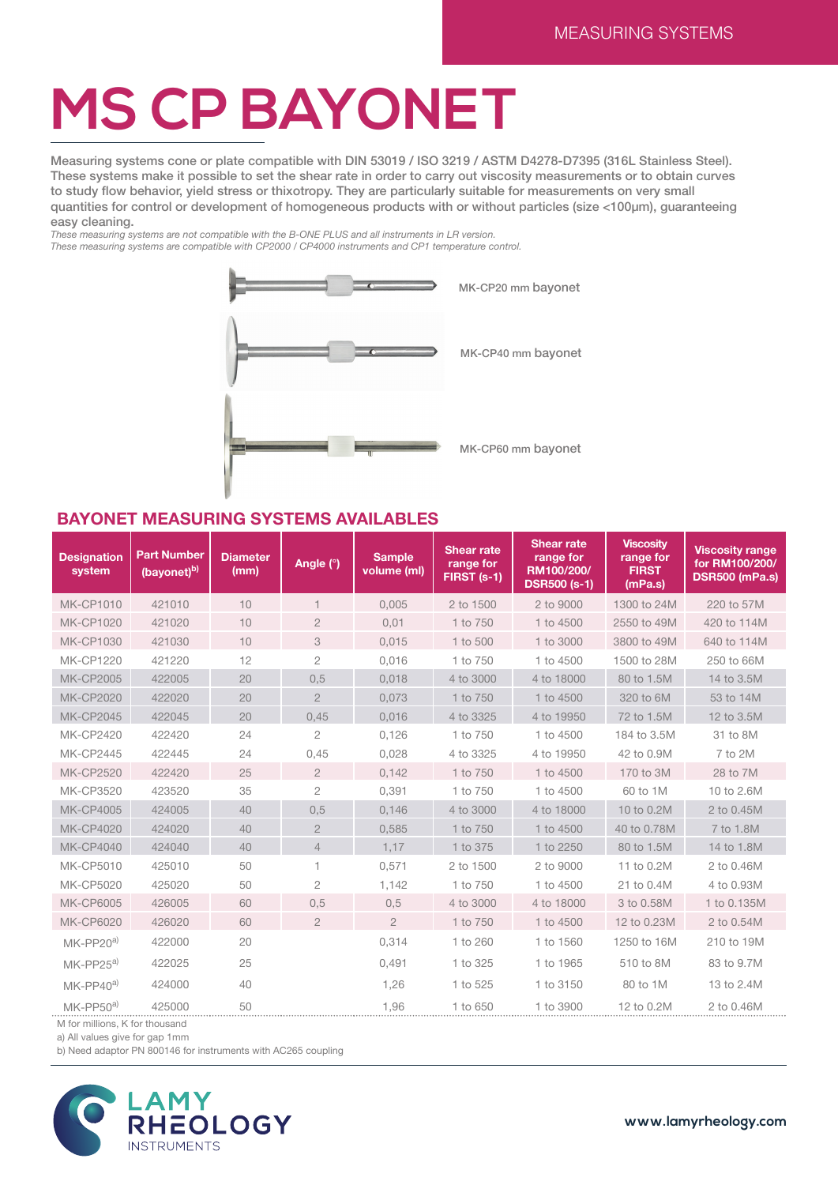## **MS CP BAYONET**

Measuring systems cone or plate compatible with DIN 53019 / ISO 3219 / ASTM D4278-D7395 (316L Stainless Steel). These systems make it possible to set the shear rate in order to carry out viscosity measurements or to obtain curves to study flow behavior, yield stress or thixotropy. They are particularly suitable for measurements on very small quantities for control or development of homogeneous products with or without particles (size <100μm), guaranteeing easy cleaning.

*These measuring systems are not compatible with the B-ONE PLUS and all instruments in LR version. These measuring systems are compatible with CP2000 / CP4000 instruments and CP1 temperature control.*



## **BAYONET MEASURING SYSTEMS AVAILABLES**

| <b>Designation</b><br>system | <b>Part Number</b><br>(bayonet) <sup>b)</sup> | <b>Diameter</b><br>(mm) | Angle (°)                | <b>Sample</b><br>volume (ml) | <b>Shear rate</b><br>range for<br>FIRST (s-1) | <b>Shear rate</b><br>range for<br>RM100/200/<br><b>DSR500 (s-1)</b> | <b>Viscosity</b><br>range for<br><b>FIRST</b><br>(mPa.s) | <b>Viscosity range</b><br>for RM100/200/<br><b>DSR500 (mPa.s)</b> |
|------------------------------|-----------------------------------------------|-------------------------|--------------------------|------------------------------|-----------------------------------------------|---------------------------------------------------------------------|----------------------------------------------------------|-------------------------------------------------------------------|
| <b>MK-CP1010</b>             | 421010                                        | 10                      | $\overline{\phantom{a}}$ | 0.005                        | 2 to 1500                                     | 2 to 9000                                                           | 1300 to 24M                                              | 220 to 57M                                                        |
| <b>MK-CP1020</b>             | 421020                                        | 10                      | $\overline{2}$           | 0,01                         | 1 to 750                                      | 1 to 4500                                                           | 2550 to 49M                                              | 420 to 114M                                                       |
| <b>MK-CP1030</b>             | 421030                                        | 10                      | 3                        | 0,015                        | 1 to 500                                      | 1 to 3000                                                           | 3800 to 49M                                              | 640 to 114M                                                       |
| <b>MK-CP1220</b>             | 421220                                        | 12                      | $\mathbf{2}$             | 0,016                        | 1 to 750                                      | 1 to 4500                                                           | 1500 to 28M                                              | 250 to 66M                                                        |
| <b>MK-CP2005</b>             | 422005                                        | 20                      | 0,5                      | 0,018                        | 4 to 3000                                     | 4 to 18000                                                          | 80 to 1.5M                                               | 14 to 3.5M                                                        |
| <b>MK-CP2020</b>             | 422020                                        | 20                      | $\overline{2}$           | 0,073                        | 1 to 750                                      | 1 to 4500                                                           | 320 to 6M                                                | 53 to 14M                                                         |
| <b>MK-CP2045</b>             | 422045                                        | 20                      | 0,45                     | 0,016                        | 4 to 3325                                     | 4 to 19950                                                          | 72 to 1.5M                                               | 12 to 3.5M                                                        |
| <b>MK-CP2420</b>             | 422420                                        | 24                      | $\overline{2}$           | 0,126                        | 1 to 750                                      | 1 to 4500                                                           | 184 to 3.5M                                              | 31 to 8M                                                          |
| <b>MK-CP2445</b>             | 422445                                        | 24                      | 0,45                     | 0,028                        | 4 to 3325                                     | 4 to 19950                                                          | 42 to 0.9M                                               | 7 to 2M                                                           |
| <b>MK-CP2520</b>             | 422420                                        | 25                      | $\overline{2}$           | 0,142                        | 1 to 750                                      | 1 to 4500                                                           | 170 to 3M                                                | 28 to 7M                                                          |
| <b>MK-CP3520</b>             | 423520                                        | 35                      | $\mathbf{2}$             | 0,391                        | 1 to 750                                      | 1 to 4500                                                           | 60 to 1M                                                 | 10 to 2.6M                                                        |
| <b>MK-CP4005</b>             | 424005                                        | 40                      | 0.5                      | 0.146                        | 4 to 3000                                     | 4 to 18000                                                          | 10 to 0.2M                                               | 2 to 0.45M                                                        |
| <b>MK-CP4020</b>             | 424020                                        | 40                      | $\overline{2}$           | 0,585                        | 1 to 750                                      | 1 to 4500                                                           | 40 to 0.78M                                              | 7 to 1.8M                                                         |
| <b>MK-CP4040</b>             | 424040                                        | 40                      | $\overline{4}$           | 1,17                         | 1 to 375                                      | 1 to 2250                                                           | 80 to 1.5M                                               | 14 to 1.8M                                                        |
| <b>MK-CP5010</b>             | 425010                                        | 50                      |                          | 0,571                        | 2 to 1500                                     | 2 to 9000                                                           | 11 to 0.2M                                               | 2 to 0.46M                                                        |
| <b>MK-CP5020</b>             | 425020                                        | 50                      | $\overline{c}$           | 1,142                        | 1 to 750                                      | 1 to 4500                                                           | 21 to 0.4M                                               | 4 to 0.93M                                                        |
| <b>MK-CP6005</b>             | 426005                                        | 60                      | 0,5                      | 0,5                          | 4 to 3000                                     | 4 to 18000                                                          | 3 to 0.58M                                               | 1 to 0.135M                                                       |
| <b>MK-CP6020</b>             | 426020                                        | 60                      | $\overline{2}$           | $\overline{2}$               | 1 to 750                                      | 1 to 4500                                                           | 12 to 0.23M                                              | 2 to 0.54M                                                        |
| MK-PP20 <sup>a)</sup>        | 422000                                        | 20                      |                          | 0.314                        | 1 to 260                                      | 1 to 1560                                                           | 1250 to 16M                                              | 210 to 19M                                                        |
| MK-PP25 <sup>a)</sup>        | 422025                                        | 25                      |                          | 0,491                        | 1 to 325                                      | 1 to 1965                                                           | 510 to 8M                                                | 83 to 9.7M                                                        |
| MK-PP40 <sup>a)</sup>        | 424000                                        | 40                      |                          | 1,26                         | 1 to 525                                      | 1 to 3150                                                           | 80 to 1M                                                 | 13 to 2.4M                                                        |
| $MK-PP50a$                   | 425000                                        | 50                      |                          | 1,96                         | 1 to 650                                      | 1 to 3900                                                           | 12 to 0.2M                                               | 2 to 0.46M                                                        |

M for millions, K for thousand

a) All values give for gap 1mm

b) Need adaptor PN 800146 for instruments with AC265 coupling